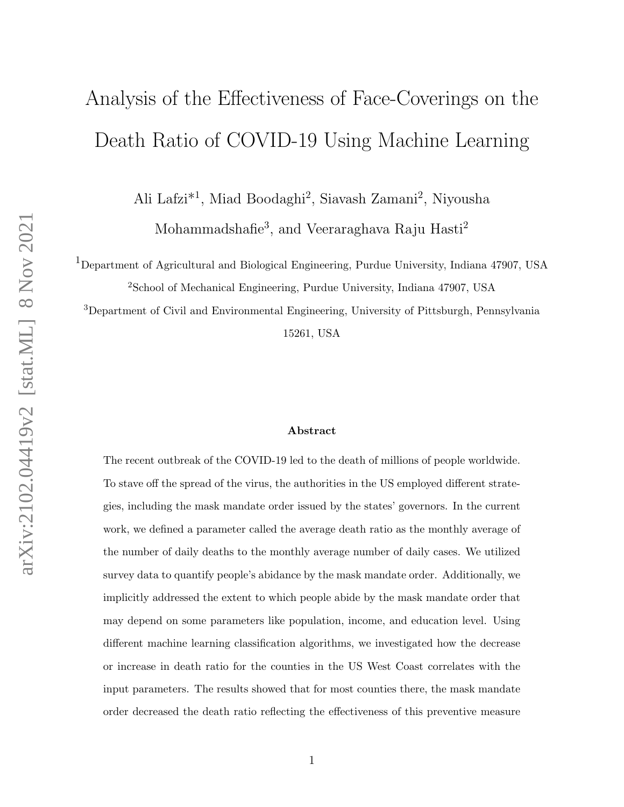# Analysis of the Effectiveness of Face-Coverings on the Death Ratio of COVID-19 Using Machine Learning

Ali Lafzi<sup>\*1</sup>, Miad Boodaghi<sup>2</sup>, Siavash Zamani<sup>2</sup>, Niyousha

Mohammadshafie<sup>3</sup>, and Veeraraghava Raju Hasti<sup>2</sup>

<sup>1</sup>Department of Agricultural and Biological Engineering, Purdue University, Indiana 47907, USA <sup>2</sup>School of Mechanical Engineering, Purdue University, Indiana 47907, USA

<sup>3</sup>Department of Civil and Environmental Engineering, University of Pittsburgh, Pennsylvania 15261, USA

#### Abstract

The recent outbreak of the COVID-19 led to the death of millions of people worldwide. To stave off the spread of the virus, the authorities in the US employed different strategies, including the mask mandate order issued by the states' governors. In the current work, we defined a parameter called the average death ratio as the monthly average of the number of daily deaths to the monthly average number of daily cases. We utilized survey data to quantify people's abidance by the mask mandate order. Additionally, we implicitly addressed the extent to which people abide by the mask mandate order that may depend on some parameters like population, income, and education level. Using different machine learning classification algorithms, we investigated how the decrease or increase in death ratio for the counties in the US West Coast correlates with the input parameters. The results showed that for most counties there, the mask mandate order decreased the death ratio reflecting the effectiveness of this preventive measure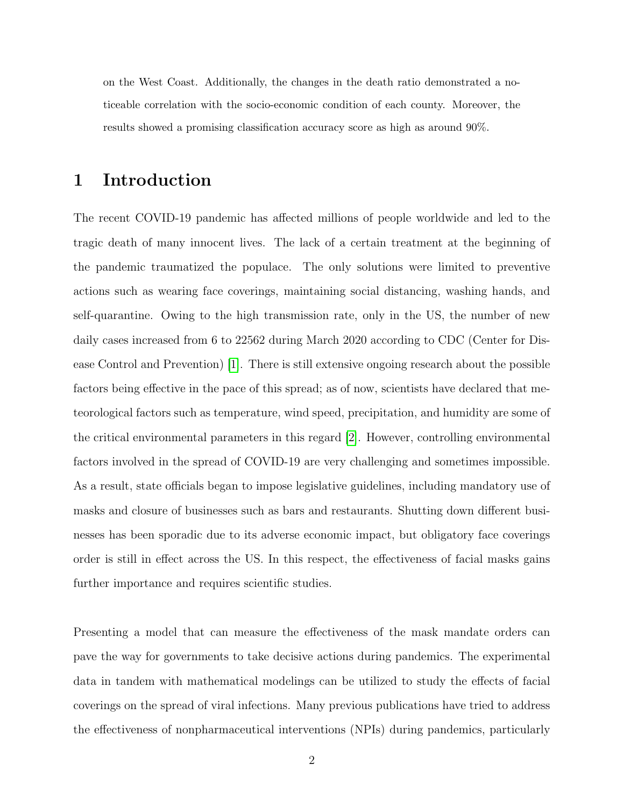on the West Coast. Additionally, the changes in the death ratio demonstrated a noticeable correlation with the socio-economic condition of each county. Moreover, the results showed a promising classification accuracy score as high as around 90%.

#### 1 Introduction

The recent COVID-19 pandemic has affected millions of people worldwide and led to the tragic death of many innocent lives. The lack of a certain treatment at the beginning of the pandemic traumatized the populace. The only solutions were limited to preventive actions such as wearing face coverings, maintaining social distancing, washing hands, and self-quarantine. Owing to the high transmission rate, only in the US, the number of new daily cases increased from 6 to 22562 during March 2020 according to CDC (Center for Disease Control and Prevention) [\[1\]](#page-19-0). There is still extensive ongoing research about the possible factors being effective in the pace of this spread; as of now, scientists have declared that meteorological factors such as temperature, wind speed, precipitation, and humidity are some of the critical environmental parameters in this regard [\[2\]](#page-19-1). However, controlling environmental factors involved in the spread of COVID-19 are very challenging and sometimes impossible. As a result, state officials began to impose legislative guidelines, including mandatory use of masks and closure of businesses such as bars and restaurants. Shutting down different businesses has been sporadic due to its adverse economic impact, but obligatory face coverings order is still in effect across the US. In this respect, the effectiveness of facial masks gains further importance and requires scientific studies.

Presenting a model that can measure the effectiveness of the mask mandate orders can pave the way for governments to take decisive actions during pandemics. The experimental data in tandem with mathematical modelings can be utilized to study the effects of facial coverings on the spread of viral infections. Many previous publications have tried to address the effectiveness of nonpharmaceutical interventions (NPIs) during pandemics, particularly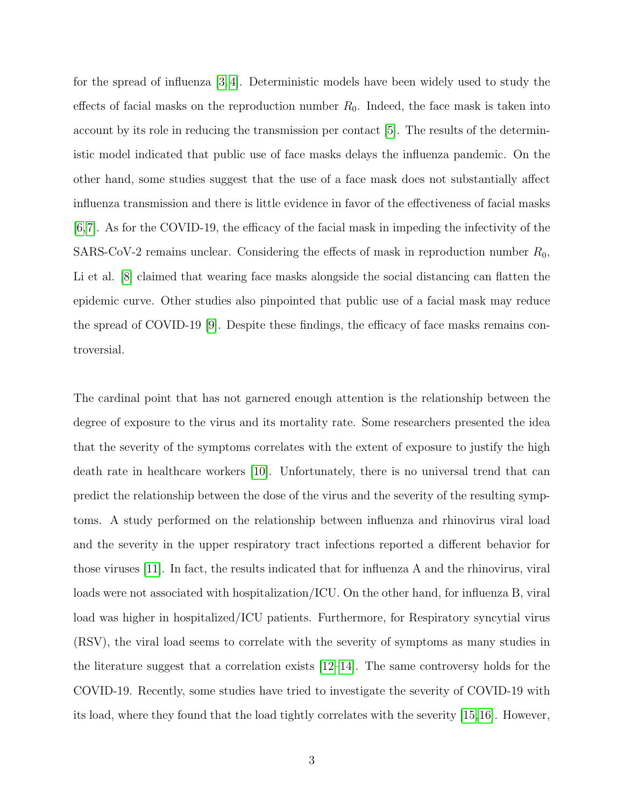for the spread of influenza [\[3,](#page-19-2) [4\]](#page-19-3). Deterministic models have been widely used to study the effects of facial masks on the reproduction number  $R_0$ . Indeed, the face mask is taken into account by its role in reducing the transmission per contact [\[5\]](#page-19-4). The results of the deterministic model indicated that public use of face masks delays the influenza pandemic. On the other hand, some studies suggest that the use of a face mask does not substantially affect influenza transmission and there is little evidence in favor of the effectiveness of facial masks  $[6,7]$  $[6,7]$ . As for the COVID-19, the efficacy of the facial mask in impeding the infectivity of the SARS-CoV-2 remains unclear. Considering the effects of mask in reproduction number  $R_0$ , Li et al. [\[8\]](#page-20-0) claimed that wearing face masks alongside the social distancing can flatten the epidemic curve. Other studies also pinpointed that public use of a facial mask may reduce the spread of COVID-19 [\[9\]](#page-20-1). Despite these findings, the efficacy of face masks remains controversial.

The cardinal point that has not garnered enough attention is the relationship between the degree of exposure to the virus and its mortality rate. Some researchers presented the idea that the severity of the symptoms correlates with the extent of exposure to justify the high death rate in healthcare workers [\[10\]](#page-20-2). Unfortunately, there is no universal trend that can predict the relationship between the dose of the virus and the severity of the resulting symptoms. A study performed on the relationship between influenza and rhinovirus viral load and the severity in the upper respiratory tract infections reported a different behavior for those viruses [\[11\]](#page-20-3). In fact, the results indicated that for influenza A and the rhinovirus, viral loads were not associated with hospitalization/ICU. On the other hand, for influenza B, viral load was higher in hospitalized/ICU patients. Furthermore, for Respiratory syncytial virus (RSV), the viral load seems to correlate with the severity of symptoms as many studies in the literature suggest that a correlation exists [\[12–](#page-20-4)[14\]](#page-20-5). The same controversy holds for the COVID-19. Recently, some studies have tried to investigate the severity of COVID-19 with its load, where they found that the load tightly correlates with the severity [\[15,](#page-20-6)[16\]](#page-21-0). However,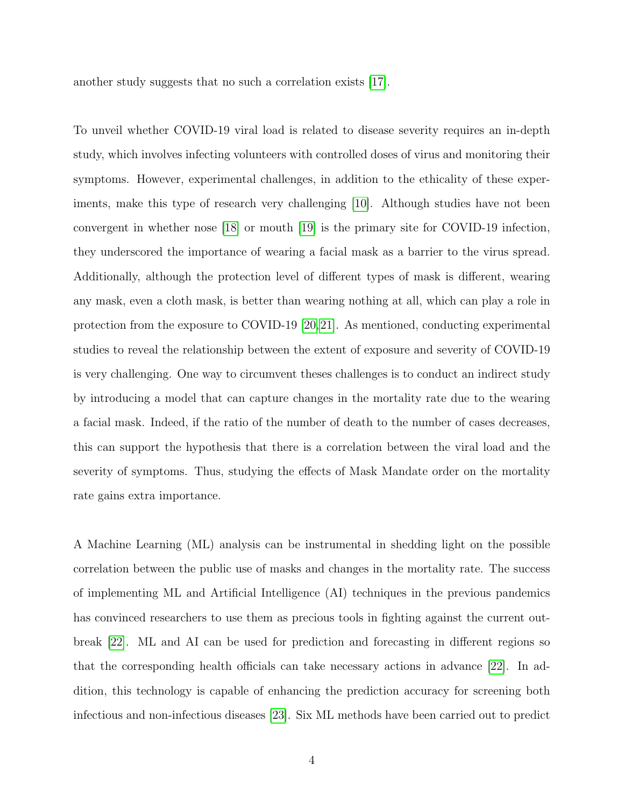another study suggests that no such a correlation exists [\[17\]](#page-21-1).

To unveil whether COVID-19 viral load is related to disease severity requires an in-depth study, which involves infecting volunteers with controlled doses of virus and monitoring their symptoms. However, experimental challenges, in addition to the ethicality of these experiments, make this type of research very challenging [\[10\]](#page-20-2). Although studies have not been convergent in whether nose [\[18\]](#page-21-2) or mouth [\[19\]](#page-21-3) is the primary site for COVID-19 infection, they underscored the importance of wearing a facial mask as a barrier to the virus spread. Additionally, although the protection level of different types of mask is different, wearing any mask, even a cloth mask, is better than wearing nothing at all, which can play a role in protection from the exposure to COVID-19 [\[20,](#page-21-4)[21\]](#page-21-5). As mentioned, conducting experimental studies to reveal the relationship between the extent of exposure and severity of COVID-19 is very challenging. One way to circumvent theses challenges is to conduct an indirect study by introducing a model that can capture changes in the mortality rate due to the wearing a facial mask. Indeed, if the ratio of the number of death to the number of cases decreases, this can support the hypothesis that there is a correlation between the viral load and the severity of symptoms. Thus, studying the effects of Mask Mandate order on the mortality rate gains extra importance.

A Machine Learning (ML) analysis can be instrumental in shedding light on the possible correlation between the public use of masks and changes in the mortality rate. The success of implementing ML and Artificial Intelligence (AI) techniques in the previous pandemics has convinced researchers to use them as precious tools in fighting against the current outbreak [\[22\]](#page-21-6). ML and AI can be used for prediction and forecasting in different regions so that the corresponding health officials can take necessary actions in advance [\[22\]](#page-21-6). In addition, this technology is capable of enhancing the prediction accuracy for screening both infectious and non-infectious diseases [\[23\]](#page-21-7). Six ML methods have been carried out to predict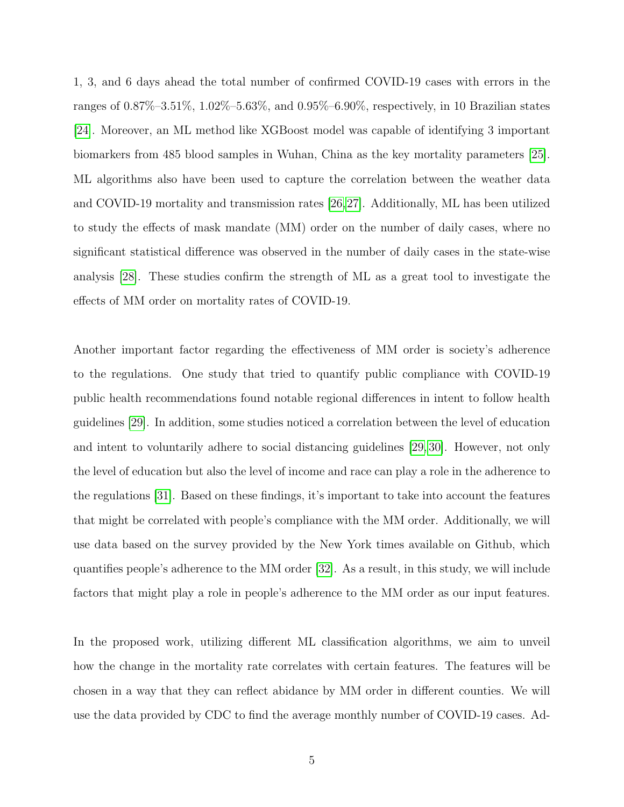1, 3, and 6 days ahead the total number of confirmed COVID-19 cases with errors in the ranges of 0.87%–3.51%, 1.02%–5.63%, and 0.95%–6.90%, respectively, in 10 Brazilian states [\[24\]](#page-22-0). Moreover, an ML method like XGBoost model was capable of identifying 3 important biomarkers from 485 blood samples in Wuhan, China as the key mortality parameters [\[25\]](#page-22-1). ML algorithms also have been used to capture the correlation between the weather data and COVID-19 mortality and transmission rates [\[26,](#page-22-2)[27\]](#page-22-3). Additionally, ML has been utilized to study the effects of mask mandate (MM) order on the number of daily cases, where no significant statistical difference was observed in the number of daily cases in the state-wise analysis [\[28\]](#page-22-4). These studies confirm the strength of ML as a great tool to investigate the effects of MM order on mortality rates of COVID-19.

Another important factor regarding the effectiveness of MM order is society's adherence to the regulations. One study that tried to quantify public compliance with COVID-19 public health recommendations found notable regional differences in intent to follow health guidelines [\[29\]](#page-22-5). In addition, some studies noticed a correlation between the level of education and intent to voluntarily adhere to social distancing guidelines [\[29,](#page-22-5) [30\]](#page-22-6). However, not only the level of education but also the level of income and race can play a role in the adherence to the regulations [\[31\]](#page-23-0). Based on these findings, it's important to take into account the features that might be correlated with people's compliance with the MM order. Additionally, we will use data based on the survey provided by the New York times available on Github, which quantifies people's adherence to the MM order [\[32\]](#page-23-1). As a result, in this study, we will include factors that might play a role in people's adherence to the MM order as our input features.

In the proposed work, utilizing different ML classification algorithms, we aim to unveil how the change in the mortality rate correlates with certain features. The features will be chosen in a way that they can reflect abidance by MM order in different counties. We will use the data provided by CDC to find the average monthly number of COVID-19 cases. Ad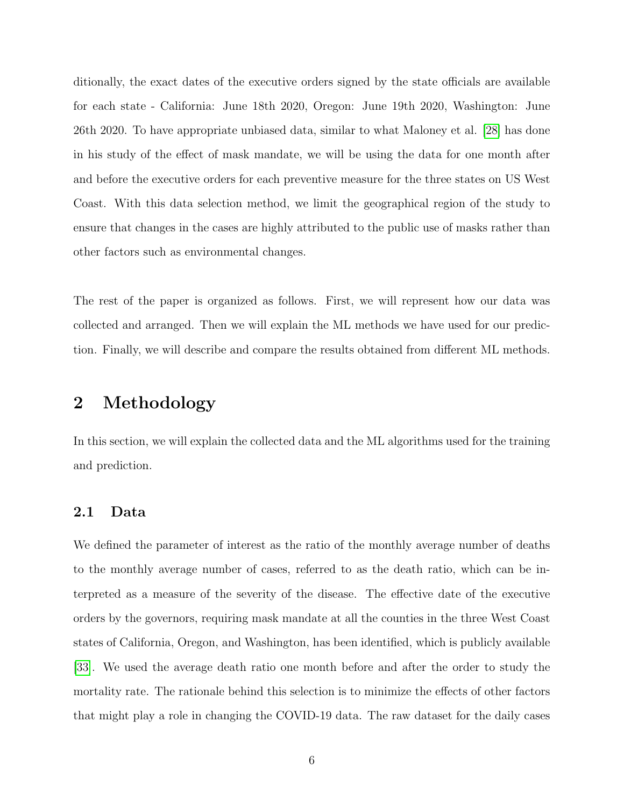ditionally, the exact dates of the executive orders signed by the state officials are available for each state - California: June 18th 2020, Oregon: June 19th 2020, Washington: June 26th 2020. To have appropriate unbiased data, similar to what Maloney et al. [\[28\]](#page-22-4) has done in his study of the effect of mask mandate, we will be using the data for one month after and before the executive orders for each preventive measure for the three states on US West Coast. With this data selection method, we limit the geographical region of the study to ensure that changes in the cases are highly attributed to the public use of masks rather than other factors such as environmental changes.

The rest of the paper is organized as follows. First, we will represent how our data was collected and arranged. Then we will explain the ML methods we have used for our prediction. Finally, we will describe and compare the results obtained from different ML methods.

#### 2 Methodology

In this section, we will explain the collected data and the ML algorithms used for the training and prediction.

#### <span id="page-5-0"></span>2.1 Data

We defined the parameter of interest as the ratio of the monthly average number of deaths to the monthly average number of cases, referred to as the death ratio, which can be interpreted as a measure of the severity of the disease. The effective date of the executive orders by the governors, requiring mask mandate at all the counties in the three West Coast states of California, Oregon, and Washington, has been identified, which is publicly available [\[33\]](#page-23-2). We used the average death ratio one month before and after the order to study the mortality rate. The rationale behind this selection is to minimize the effects of other factors that might play a role in changing the COVID-19 data. The raw dataset for the daily cases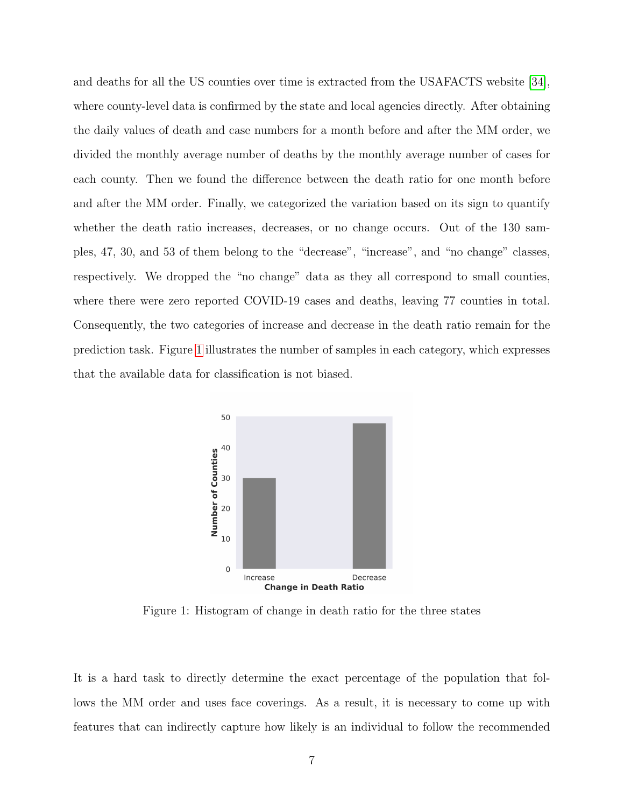and deaths for all the US counties over time is extracted from the USAFACTS website [\[34\]](#page-23-3), where county-level data is confirmed by the state and local agencies directly. After obtaining the daily values of death and case numbers for a month before and after the MM order, we divided the monthly average number of deaths by the monthly average number of cases for each county. Then we found the difference between the death ratio for one month before and after the MM order. Finally, we categorized the variation based on its sign to quantify whether the death ratio increases, decreases, or no change occurs. Out of the 130 samples, 47, 30, and 53 of them belong to the "decrease", "increase", and "no change" classes, respectively. We dropped the "no change" data as they all correspond to small counties, where there were zero reported COVID-19 cases and deaths, leaving 77 counties in total. Consequently, the two categories of increase and decrease in the death ratio remain for the prediction task. Figure [1](#page-6-0) illustrates the number of samples in each category, which expresses that the available data for classification is not biased.

<span id="page-6-0"></span>

Figure 1: Histogram of change in death ratio for the three states

It is a hard task to directly determine the exact percentage of the population that follows the MM order and uses face coverings. As a result, it is necessary to come up with features that can indirectly capture how likely is an individual to follow the recommended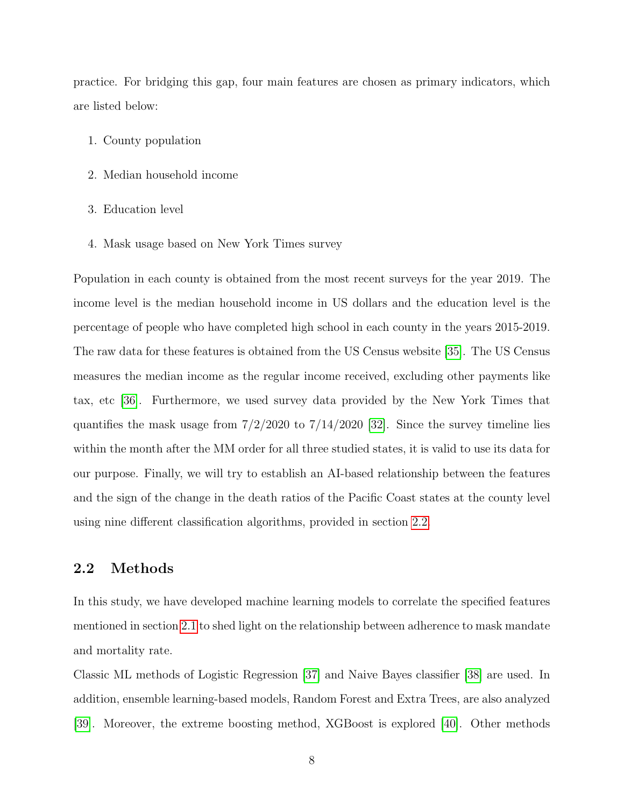practice. For bridging this gap, four main features are chosen as primary indicators, which are listed below:

- 1. County population
- 2. Median household income
- 3. Education level
- 4. Mask usage based on New York Times survey

Population in each county is obtained from the most recent surveys for the year 2019. The income level is the median household income in US dollars and the education level is the percentage of people who have completed high school in each county in the years 2015-2019. The raw data for these features is obtained from the US Census website [\[35\]](#page-23-4). The US Census measures the median income as the regular income received, excluding other payments like tax, etc [\[36\]](#page-23-5). Furthermore, we used survey data provided by the New York Times that quantifies the mask usage from  $7/2/2020$  to  $7/14/2020$  [\[32\]](#page-23-1). Since the survey timeline lies within the month after the MM order for all three studied states, it is valid to use its data for our purpose. Finally, we will try to establish an AI-based relationship between the features and the sign of the change in the death ratios of the Pacific Coast states at the county level using nine different classification algorithms, provided in section [2.2.](#page-7-0)

#### <span id="page-7-0"></span>2.2 Methods

In this study, we have developed machine learning models to correlate the specified features mentioned in section [2.1](#page-5-0) to shed light on the relationship between adherence to mask mandate and mortality rate.

Classic ML methods of Logistic Regression [\[37\]](#page-23-6) and Naive Bayes classifier [\[38\]](#page-23-7) are used. In addition, ensemble learning-based models, Random Forest and Extra Trees, are also analyzed [\[39\]](#page-23-8). Moreover, the extreme boosting method, XGBoost is explored [\[40\]](#page-23-9). Other methods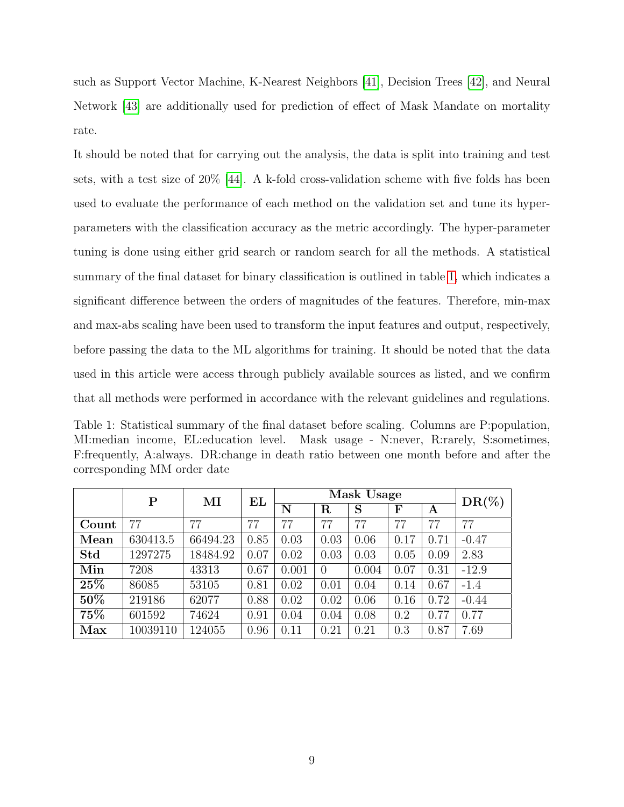such as Support Vector Machine, K-Nearest Neighbors [\[41\]](#page-24-0), Decision Trees [\[42\]](#page-24-1), and Neural Network [\[43\]](#page-24-2) are additionally used for prediction of effect of Mask Mandate on mortality rate.

It should be noted that for carrying out the analysis, the data is split into training and test sets, with a test size of 20% [\[44\]](#page-24-3). A k-fold cross-validation scheme with five folds has been used to evaluate the performance of each method on the validation set and tune its hyperparameters with the classification accuracy as the metric accordingly. The hyper-parameter tuning is done using either grid search or random search for all the methods. A statistical summary of the final dataset for binary classification is outlined in table [1,](#page-8-0) which indicates a significant difference between the orders of magnitudes of the features. Therefore, min-max and max-abs scaling have been used to transform the input features and output, respectively, before passing the data to the ML algorithms for training. It should be noted that the data used in this article were access through publicly available sources as listed, and we confirm that all methods were performed in accordance with the relevant guidelines and regulations.

<span id="page-8-0"></span>Table 1: Statistical summary of the final dataset before scaling. Columns are P:population, MI:median income, EL:education level. Mask usage - N:never, R:rarely, S:sometimes, F:frequently, A:always. DR:change in death ratio between one month before and after the corresponding MM order date

|        | $\mathbf P$ | $\mathbf{M}$ | EL   |       | $DR(\%)$       |       |      |      |         |
|--------|-------------|--------------|------|-------|----------------|-------|------|------|---------|
|        |             |              |      | N     | $_{\rm R}$     | S     | F    | Α    |         |
| Count  | 77          | 77           | 77   | 77    | 77             | 77    | 77   | 77   | 77      |
| Mean   | 630413.5    | 66494.23     | 0.85 | 0.03  | 0.03           | 0.06  | 0.17 | 0.71 | $-0.47$ |
| Std    | 1297275     | 18484.92     | 0.07 | 0.02  | 0.03           | 0.03  | 0.05 | 0.09 | 2.83    |
| Min    | 7208        | 43313        | 0.67 | 0.001 | $\overline{0}$ | 0.004 | 0.07 | 0.31 | $-12.9$ |
| $25\%$ | 86085       | 53105        | 0.81 | 0.02  | 0.01           | 0.04  | 0.14 | 0.67 | $-1.4$  |
| 50%    | 219186      | 62077        | 0.88 | 0.02  | 0.02           | 0.06  | 0.16 | 0.72 | $-0.44$ |
| 75%    | 601592      | 74624        | 0.91 | 0.04  | 0.04           | 0.08  | 0.2  | 0.77 | 0.77    |
| Max    | 10039110    | 124055       | 0.96 | 0.11  | 0.21           | 0.21  | 0.3  | 0.87 | 7.69    |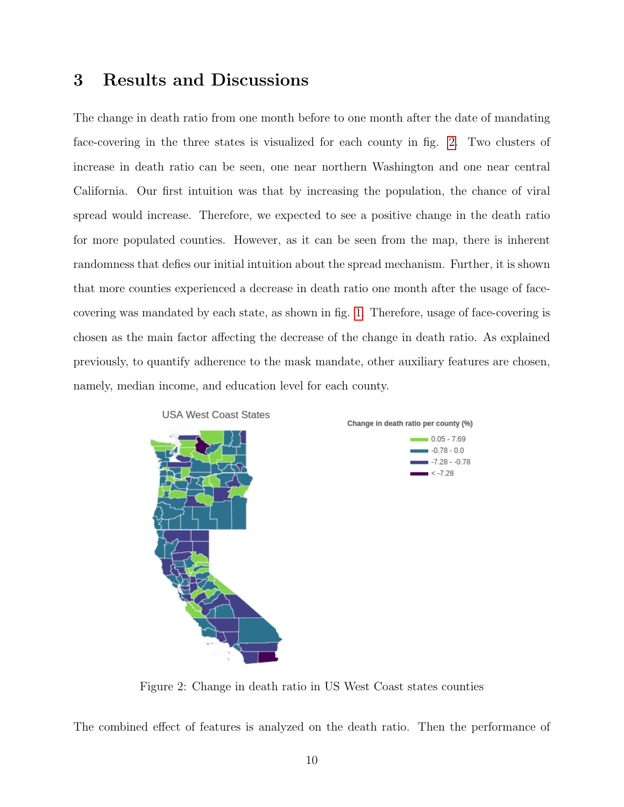#### 3 Results and Discussions

The change in death ratio from one month before to one month after the date of mandating face-covering in the three states is visualized for each county in fig. [2.](#page-9-0) Two clusters of increase in death ratio can be seen, one near northern Washington and one near central California. Our first intuition was that by increasing the population, the chance of viral spread would increase. Therefore, we expected to see a positive change in the death ratio for more populated counties. However, as it can be seen from the map, there is inherent randomness that defies our initial intuition about the spread mechanism. Further, it is shown that more counties experienced a decrease in death ratio one month after the usage of facecovering was mandated by each state, as shown in fig. [1.](#page-6-0) Therefore, usage of face-covering is chosen as the main factor affecting the decrease of the change in death ratio. As explained previously, to quantify adherence to the mask mandate, other auxiliary features are chosen, namely, median income, and education level for each county.

<span id="page-9-0"></span>



Figure 2: Change in death ratio in US West Coast states counties

The combined effect of features is analyzed on the death ratio. Then the performance of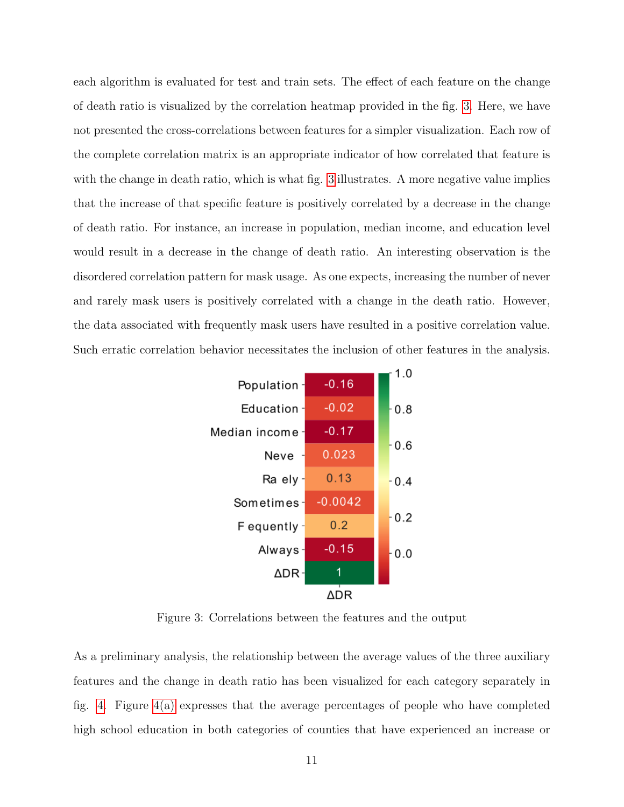each algorithm is evaluated for test and train sets. The effect of each feature on the change of death ratio is visualized by the correlation heatmap provided in the fig. [3.](#page-10-0) Here, we have not presented the cross-correlations between features for a simpler visualization. Each row of the complete correlation matrix is an appropriate indicator of how correlated that feature is with the change in death ratio, which is what fig. [3](#page-10-0) illustrates. A more negative value implies that the increase of that specific feature is positively correlated by a decrease in the change of death ratio. For instance, an increase in population, median income, and education level would result in a decrease in the change of death ratio. An interesting observation is the disordered correlation pattern for mask usage. As one expects, increasing the number of never and rarely mask users is positively correlated with a change in the death ratio. However, the data associated with frequently mask users have resulted in a positive correlation value. Such erratic correlation behavior necessitates the inclusion of other features in the analysis.

<span id="page-10-0"></span>

Figure 3: Correlations between the features and the output

As a preliminary analysis, the relationship between the average values of the three auxiliary features and the change in death ratio has been visualized for each category separately in fig. [4.](#page-11-0) Figure [4\(a\)](#page-11-1) expresses that the average percentages of people who have completed high school education in both categories of counties that have experienced an increase or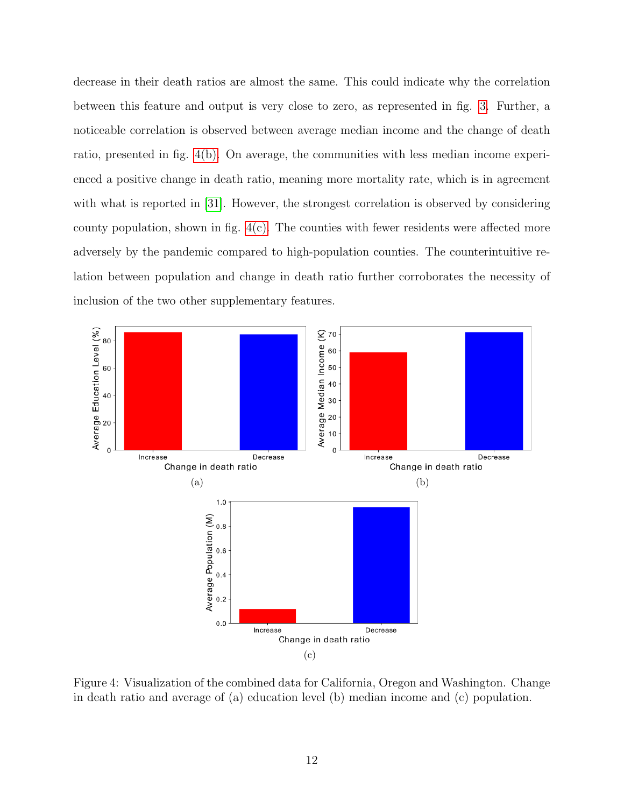decrease in their death ratios are almost the same. This could indicate why the correlation between this feature and output is very close to zero, as represented in fig. [3.](#page-10-0) Further, a noticeable correlation is observed between average median income and the change of death ratio, presented in fig. [4\(b\).](#page-11-2) On average, the communities with less median income experienced a positive change in death ratio, meaning more mortality rate, which is in agreement with what is reported in [\[31\]](#page-23-0). However, the strongest correlation is observed by considering county population, shown in fig.  $4(c)$ . The counties with fewer residents were affected more adversely by the pandemic compared to high-population counties. The counterintuitive relation between population and change in death ratio further corroborates the necessity of inclusion of the two other supplementary features.

<span id="page-11-2"></span><span id="page-11-1"></span><span id="page-11-0"></span>

<span id="page-11-3"></span>Figure 4: Visualization of the combined data for California, Oregon and Washington. Change in death ratio and average of (a) education level (b) median income and (c) population.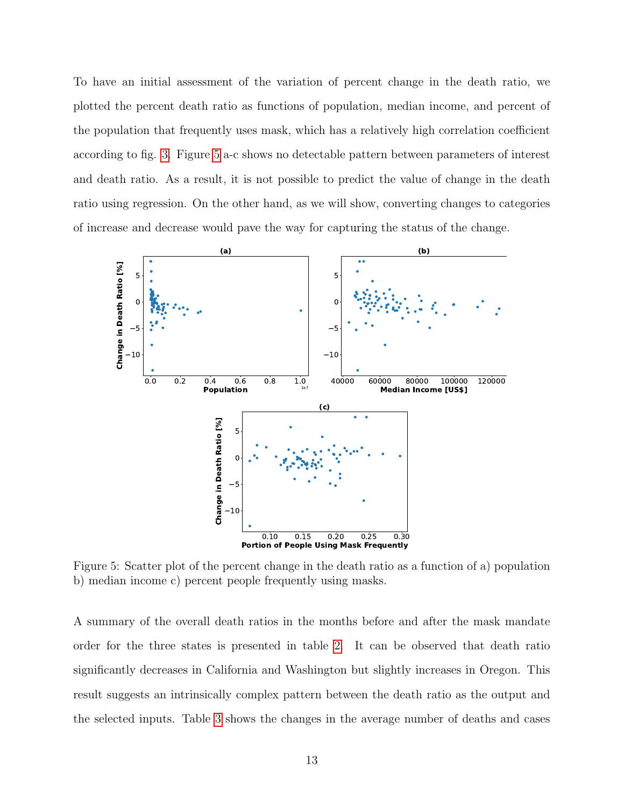To have an initial assessment of the variation of percent change in the death ratio, we plotted the percent death ratio as functions of population, median income, and percent of the population that frequently uses mask, which has a relatively high correlation coefficient according to fig. [3.](#page-10-0) Figure [5](#page-12-0) a-c shows no detectable pattern between parameters of interest and death ratio. As a result, it is not possible to predict the value of change in the death ratio using regression. On the other hand, as we will show, converting changes to categories of increase and decrease would pave the way for capturing the status of the change.

<span id="page-12-0"></span>

Figure 5: Scatter plot of the percent change in the death ratio as a function of a) population b) median income c) percent people frequently using masks.

A summary of the overall death ratios in the months before and after the mask mandate order for the three states is presented in table [2.](#page-13-0) It can be observed that death ratio significantly decreases in California and Washington but slightly increases in Oregon. This result suggests an intrinsically complex pattern between the death ratio as the output and the selected inputs. Table [3](#page-13-1) shows the changes in the average number of deaths and cases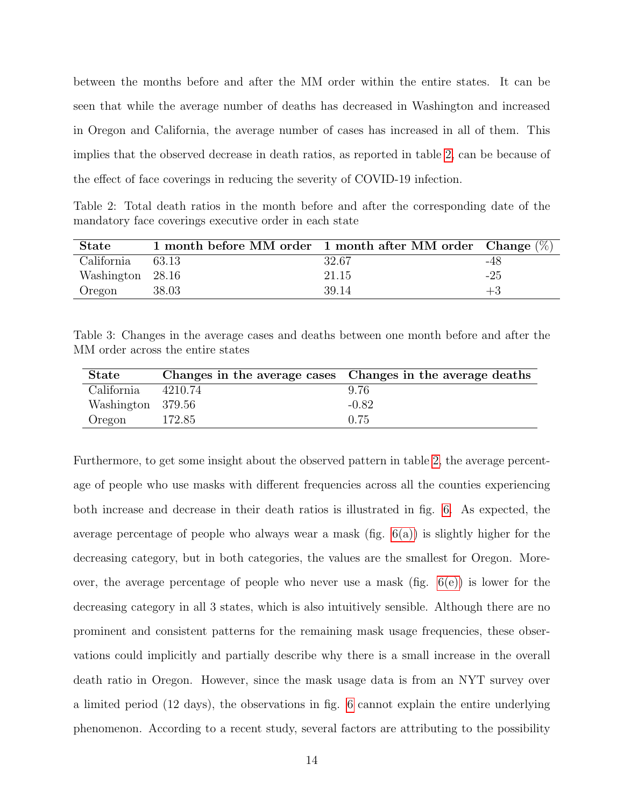between the months before and after the MM order within the entire states. It can be seen that while the average number of deaths has decreased in Washington and increased in Oregon and California, the average number of cases has increased in all of them. This implies that the observed decrease in death ratios, as reported in table [2,](#page-13-0) can be because of the effect of face coverings in reducing the severity of COVID-19 infection.

<span id="page-13-0"></span>Table 2: Total death ratios in the month before and after the corresponding date of the mandatory face coverings executive order in each state

| <b>State</b>     | 1 month before MM order 1 month after MM order Change $(\%)$ |       |       |
|------------------|--------------------------------------------------------------|-------|-------|
| California       | 63.13                                                        | 32.67 | -48   |
| Washington 28.16 |                                                              | 21.15 | $-25$ |
| Oregon           | 38.03                                                        | 39.14 | $+3$  |

<span id="page-13-1"></span>Table 3: Changes in the average cases and deaths between one month before and after the MM order across the entire states

| <b>State</b>      |         | Changes in the average cases Changes in the average deaths |
|-------------------|---------|------------------------------------------------------------|
| California        | 4210.74 | 9.76                                                       |
| Washington 379.56 |         | $-0.82$                                                    |
| Oregon            | 172.85  | 0.75                                                       |

Furthermore, to get some insight about the observed pattern in table [2,](#page-13-0) the average percentage of people who use masks with different frequencies across all the counties experiencing both increase and decrease in their death ratios is illustrated in fig. [6.](#page-14-0) As expected, the average percentage of people who always wear a mask (fig. [6\(a\)\)](#page-14-1) is slightly higher for the decreasing category, but in both categories, the values are the smallest for Oregon. Moreover, the average percentage of people who never use a mask (fig. [6\(e\)\)](#page-14-2) is lower for the decreasing category in all 3 states, which is also intuitively sensible. Although there are no prominent and consistent patterns for the remaining mask usage frequencies, these observations could implicitly and partially describe why there is a small increase in the overall death ratio in Oregon. However, since the mask usage data is from an NYT survey over a limited period (12 days), the observations in fig. [6](#page-14-0) cannot explain the entire underlying phenomenon. According to a recent study, several factors are attributing to the possibility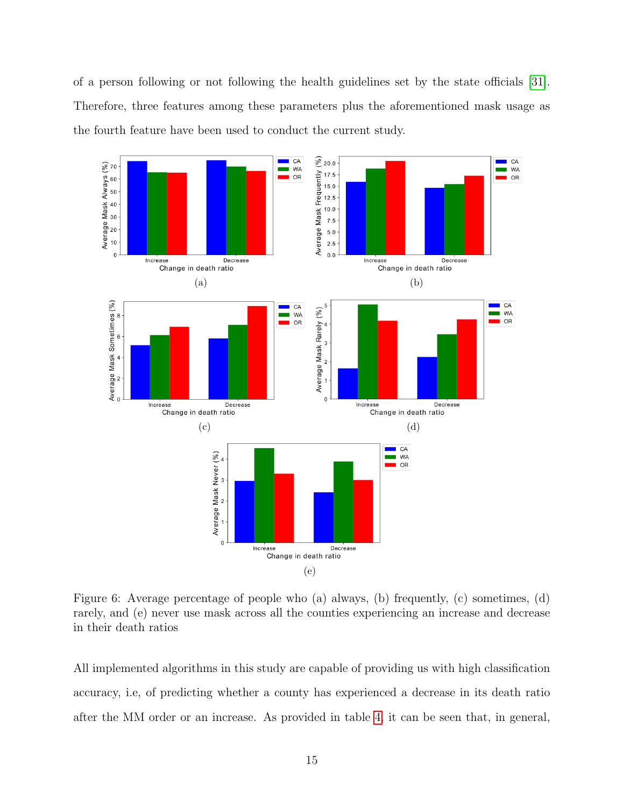of a person following or not following the health guidelines set by the state officials [\[31\]](#page-23-0). Therefore, three features among these parameters plus the aforementioned mask usage as the fourth feature have been used to conduct the current study.

<span id="page-14-1"></span><span id="page-14-0"></span>

<span id="page-14-2"></span>Figure 6: Average percentage of people who (a) always, (b) frequently, (c) sometimes, (d) rarely, and (e) never use mask across all the counties experiencing an increase and decrease in their death ratios

All implemented algorithms in this study are capable of providing us with high classification accuracy, i.e, of predicting whether a county has experienced a decrease in its death ratio after the MM order or an increase. As provided in table [4,](#page-16-0) it can be seen that, in general,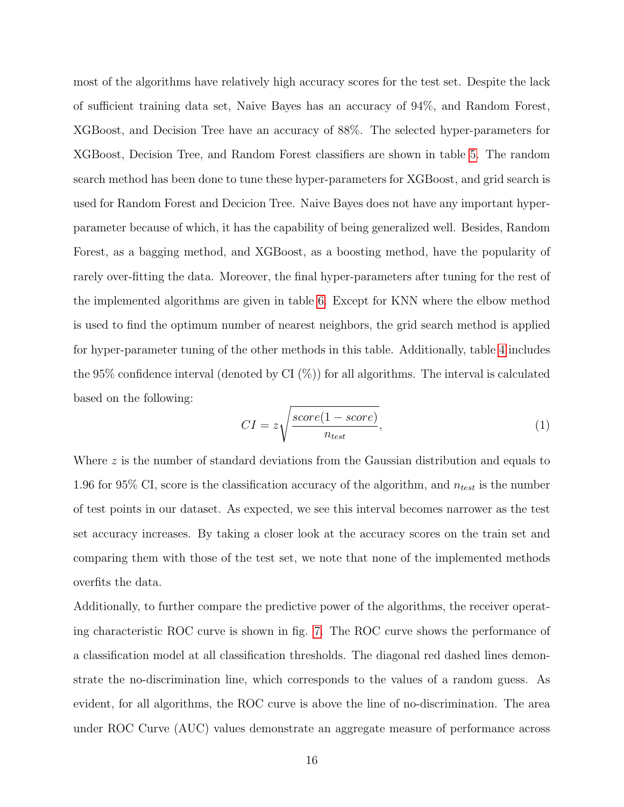most of the algorithms have relatively high accuracy scores for the test set. Despite the lack of sufficient training data set, Naive Bayes has an accuracy of 94%, and Random Forest, XGBoost, and Decision Tree have an accuracy of 88%. The selected hyper-parameters for XGBoost, Decision Tree, and Random Forest classifiers are shown in table [5.](#page-17-0) The random search method has been done to tune these hyper-parameters for XGBoost, and grid search is used for Random Forest and Decicion Tree. Naive Bayes does not have any important hyperparameter because of which, it has the capability of being generalized well. Besides, Random Forest, as a bagging method, and XGBoost, as a boosting method, have the popularity of rarely over-fitting the data. Moreover, the final hyper-parameters after tuning for the rest of the implemented algorithms are given in table [6.](#page-17-1) Except for KNN where the elbow method is used to find the optimum number of nearest neighbors, the grid search method is applied for hyper-parameter tuning of the other methods in this table. Additionally, table [4](#page-16-0) includes the 95% confidence interval (denoted by CI $(\%)$ ) for all algorithms. The interval is calculated based on the following:

$$
CI = z \sqrt{\frac{score(1 - score)}{n_{test}}},
$$
\n<sup>(1)</sup>

Where  $z$  is the number of standard deviations from the Gaussian distribution and equals to 1.96 for 95% CI, score is the classification accuracy of the algorithm, and  $n_{test}$  is the number of test points in our dataset. As expected, we see this interval becomes narrower as the test set accuracy increases. By taking a closer look at the accuracy scores on the train set and comparing them with those of the test set, we note that none of the implemented methods overfits the data.

Additionally, to further compare the predictive power of the algorithms, the receiver operating characteristic ROC curve is shown in fig. [7.](#page-16-1) The ROC curve shows the performance of a classification model at all classification thresholds. The diagonal red dashed lines demonstrate the no-discrimination line, which corresponds to the values of a random guess. As evident, for all algorithms, the ROC curve is above the line of no-discrimination. The area under ROC Curve (AUC) values demonstrate an aggregate measure of performance across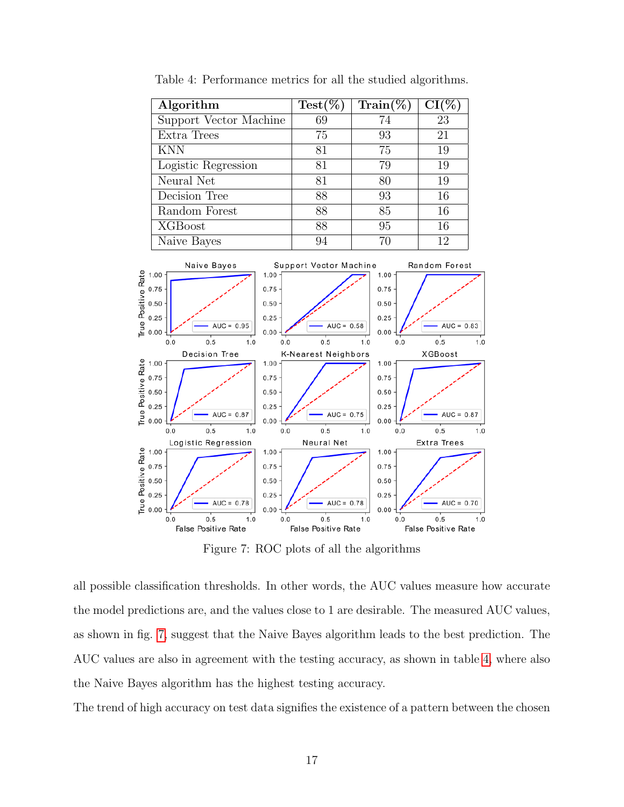<span id="page-16-1"></span><span id="page-16-0"></span>

Table 4: Performance metrics for all the studied algorithms.

Figure 7: ROC plots of all the algorithms

all possible classification thresholds. In other words, the AUC values measure how accurate the model predictions are, and the values close to 1 are desirable. The measured AUC values, as shown in fig. [7,](#page-16-1) suggest that the Naive Bayes algorithm leads to the best prediction. The AUC values are also in agreement with the testing accuracy, as shown in table [4,](#page-16-0) where also the Naive Bayes algorithm has the highest testing accuracy.

The trend of high accuracy on test data signifies the existence of a pattern between the chosen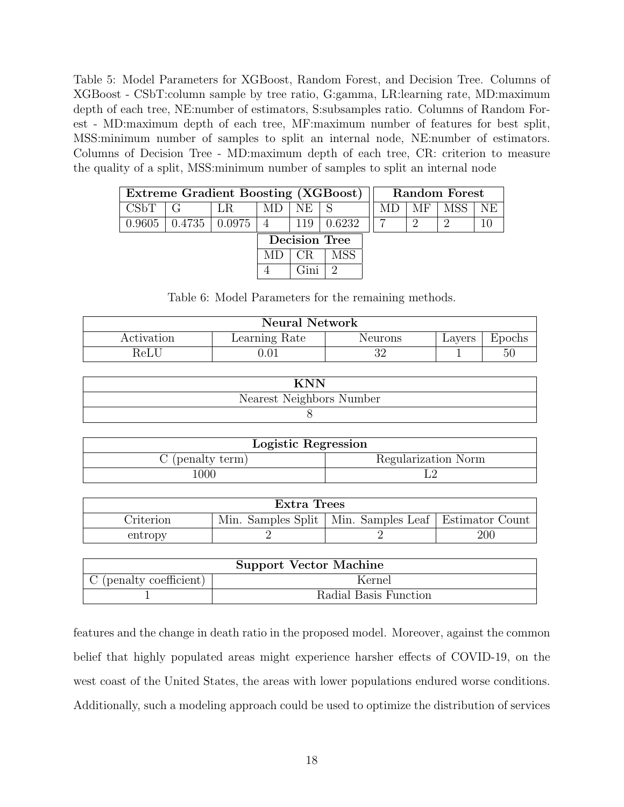<span id="page-17-0"></span>Table 5: Model Parameters for XGBoost, Random Forest, and Decision Tree. Columns of XGBoost - CSbT:column sample by tree ratio, G:gamma, LR:learning rate, MD:maximum depth of each tree, NE:number of estimators, S:subsamples ratio. Columns of Random Forest - MD:maximum depth of each tree, MF:maximum number of features for best split, MSS:minimum number of samples to split an internal node, NE:number of estimators. Columns of Decision Tree - MD:maximum depth of each tree, CR: criterion to measure the quality of a split, MSS:minimum number of samples to split an internal node

| Extreme Gradient Boosting (XGBoost) |  |                      |                | Random Forest |        |  |     |  |  |
|-------------------------------------|--|----------------------|----------------|---------------|--------|--|-----|--|--|
| CSBT                                |  |                      |                | NE.           |        |  | MF. |  |  |
| 0.9605                              |  | $0.4735 \mid 0.0975$ | $\overline{4}$ | 119           | 0.6232 |  |     |  |  |
|                                     |  |                      | Decision Tree  |               |        |  |     |  |  |
|                                     |  |                      |                |               |        |  |     |  |  |
|                                     |  |                      |                |               |        |  |     |  |  |

Table 6: Model Parameters for the remaining methods.

<span id="page-17-1"></span>

| <b>Neural Network</b> |               |         |        |        |  |  |
|-----------------------|---------------|---------|--------|--------|--|--|
| Activation            | Learning Rate | Neurons | Lavers | Epochs |  |  |
| $\operatorname{ReLU}$ | 0.01          |         |        | 50     |  |  |

| Nearest Neighbors Number |
|--------------------------|
|                          |

| Logistic Regression |                     |  |  |  |
|---------------------|---------------------|--|--|--|
| C (penalty term)    | Regularization Norm |  |  |  |
| 1000                |                     |  |  |  |

| Extra Trees                                                           |  |  |     |  |  |  |
|-----------------------------------------------------------------------|--|--|-----|--|--|--|
| Min. Samples Split   Min. Samples Leaf   Estimator Count<br>Criterion |  |  |     |  |  |  |
| entropy                                                               |  |  | 200 |  |  |  |

| <b>Support Vector Machine</b> |                       |  |  |  |  |
|-------------------------------|-----------------------|--|--|--|--|
| C (penalty coefficient)       | Kernel                |  |  |  |  |
|                               | Radial Basis Function |  |  |  |  |

features and the change in death ratio in the proposed model. Moreover, against the common belief that highly populated areas might experience harsher effects of COVID-19, on the west coast of the United States, the areas with lower populations endured worse conditions. Additionally, such a modeling approach could be used to optimize the distribution of services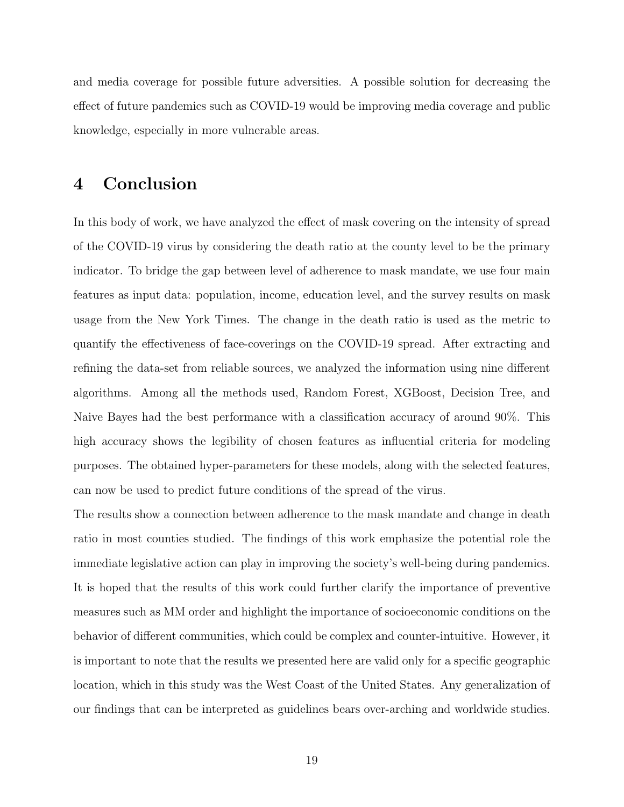and media coverage for possible future adversities. A possible solution for decreasing the effect of future pandemics such as COVID-19 would be improving media coverage and public knowledge, especially in more vulnerable areas.

### 4 Conclusion

In this body of work, we have analyzed the effect of mask covering on the intensity of spread of the COVID-19 virus by considering the death ratio at the county level to be the primary indicator. To bridge the gap between level of adherence to mask mandate, we use four main features as input data: population, income, education level, and the survey results on mask usage from the New York Times. The change in the death ratio is used as the metric to quantify the effectiveness of face-coverings on the COVID-19 spread. After extracting and refining the data-set from reliable sources, we analyzed the information using nine different algorithms. Among all the methods used, Random Forest, XGBoost, Decision Tree, and Naive Bayes had the best performance with a classification accuracy of around 90%. This high accuracy shows the legibility of chosen features as influential criteria for modeling purposes. The obtained hyper-parameters for these models, along with the selected features, can now be used to predict future conditions of the spread of the virus.

The results show a connection between adherence to the mask mandate and change in death ratio in most counties studied. The findings of this work emphasize the potential role the immediate legislative action can play in improving the society's well-being during pandemics. It is hoped that the results of this work could further clarify the importance of preventive measures such as MM order and highlight the importance of socioeconomic conditions on the behavior of different communities, which could be complex and counter-intuitive. However, it is important to note that the results we presented here are valid only for a specific geographic location, which in this study was the West Coast of the United States. Any generalization of our findings that can be interpreted as guidelines bears over-arching and worldwide studies.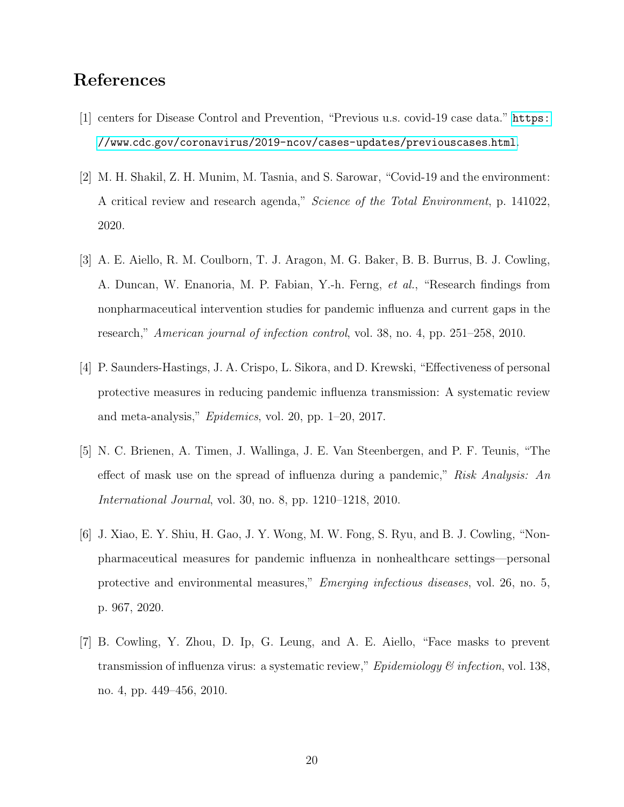### <span id="page-19-0"></span>References

- [1] centers for Disease Control and Prevention, "Previous u.s. covid-19 case data." [https:](https://www.cdc.gov/coronavirus/2019-ncov/cases-updates/previouscases.html) //www.cdc.[gov/coronavirus/2019-ncov/cases-updates/previouscases](https://www.cdc.gov/coronavirus/2019-ncov/cases-updates/previouscases.html).html.
- <span id="page-19-1"></span>[2] M. H. Shakil, Z. H. Munim, M. Tasnia, and S. Sarowar, "Covid-19 and the environment: A critical review and research agenda," Science of the Total Environment, p. 141022, 2020.
- <span id="page-19-2"></span>[3] A. E. Aiello, R. M. Coulborn, T. J. Aragon, M. G. Baker, B. B. Burrus, B. J. Cowling, A. Duncan, W. Enanoria, M. P. Fabian, Y.-h. Ferng, et al., "Research findings from nonpharmaceutical intervention studies for pandemic influenza and current gaps in the research," American journal of infection control, vol. 38, no. 4, pp. 251–258, 2010.
- <span id="page-19-3"></span>[4] P. Saunders-Hastings, J. A. Crispo, L. Sikora, and D. Krewski, "Effectiveness of personal protective measures in reducing pandemic influenza transmission: A systematic review and meta-analysis," Epidemics, vol. 20, pp. 1–20, 2017.
- <span id="page-19-4"></span>[5] N. C. Brienen, A. Timen, J. Wallinga, J. E. Van Steenbergen, and P. F. Teunis, "The effect of mask use on the spread of influenza during a pandemic," Risk Analysis: An International Journal, vol. 30, no. 8, pp. 1210–1218, 2010.
- <span id="page-19-5"></span>[6] J. Xiao, E. Y. Shiu, H. Gao, J. Y. Wong, M. W. Fong, S. Ryu, and B. J. Cowling, "Nonpharmaceutical measures for pandemic influenza in nonhealthcare settings—personal protective and environmental measures," Emerging infectious diseases, vol. 26, no. 5, p. 967, 2020.
- <span id="page-19-6"></span>[7] B. Cowling, Y. Zhou, D. Ip, G. Leung, and A. E. Aiello, "Face masks to prevent transmission of influenza virus: a systematic review," *Epidemiology & infection*, vol. 138, no. 4, pp. 449–456, 2010.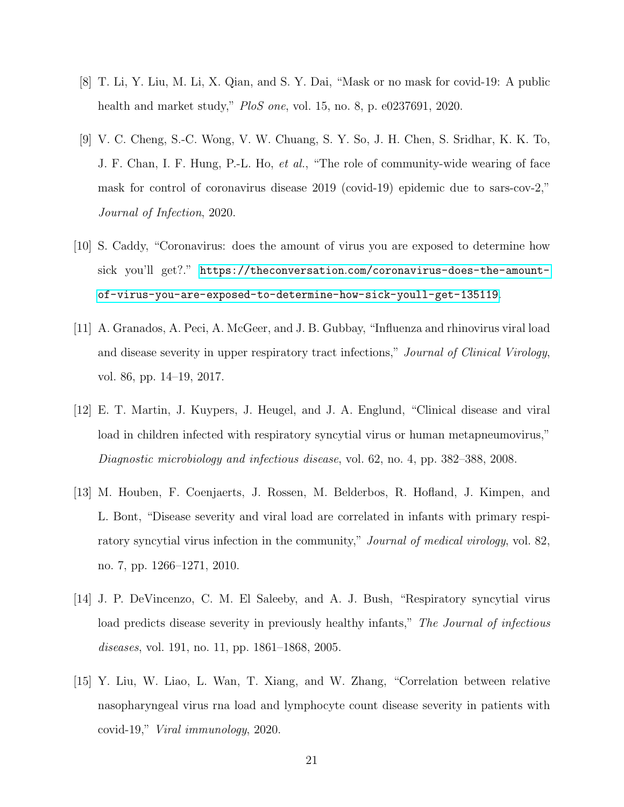- <span id="page-20-0"></span>[8] T. Li, Y. Liu, M. Li, X. Qian, and S. Y. Dai, "Mask or no mask for covid-19: A public health and market study," PloS one, vol. 15, no. 8, p. e0237691, 2020.
- <span id="page-20-1"></span>[9] V. C. Cheng, S.-C. Wong, V. W. Chuang, S. Y. So, J. H. Chen, S. Sridhar, K. K. To, J. F. Chan, I. F. Hung, P.-L. Ho, et al., "The role of community-wide wearing of face mask for control of coronavirus disease 2019 (covid-19) epidemic due to sars-cov-2," Journal of Infection, 2020.
- <span id="page-20-2"></span>[10] S. Caddy, "Coronavirus: does the amount of virus you are exposed to determine how sick you'll get?." https://theconversation.[com/coronavirus-does-the-amount](https://theconversation.com/coronavirus-does-the-amount-of-virus-you-are-exposed-to-determine-how-sick-youll-get-135119)[of-virus-you-are-exposed-to-determine-how-sick-youll-get-135119](https://theconversation.com/coronavirus-does-the-amount-of-virus-you-are-exposed-to-determine-how-sick-youll-get-135119).
- <span id="page-20-3"></span>[11] A. Granados, A. Peci, A. McGeer, and J. B. Gubbay, "Influenza and rhinovirus viral load and disease severity in upper respiratory tract infections," Journal of Clinical Virology, vol. 86, pp. 14–19, 2017.
- <span id="page-20-4"></span>[12] E. T. Martin, J. Kuypers, J. Heugel, and J. A. Englund, "Clinical disease and viral load in children infected with respiratory syncytial virus or human metapneumovirus," Diagnostic microbiology and infectious disease, vol. 62, no. 4, pp. 382–388, 2008.
- [13] M. Houben, F. Coenjaerts, J. Rossen, M. Belderbos, R. Hofland, J. Kimpen, and L. Bont, "Disease severity and viral load are correlated in infants with primary respiratory syncytial virus infection in the community," *Journal of medical virology*, vol. 82, no. 7, pp. 1266–1271, 2010.
- <span id="page-20-5"></span>[14] J. P. DeVincenzo, C. M. El Saleeby, and A. J. Bush, "Respiratory syncytial virus load predicts disease severity in previously healthy infants," The Journal of infectious diseases, vol. 191, no. 11, pp. 1861–1868, 2005.
- <span id="page-20-6"></span>[15] Y. Liu, W. Liao, L. Wan, T. Xiang, and W. Zhang, "Correlation between relative nasopharyngeal virus rna load and lymphocyte count disease severity in patients with covid-19," Viral immunology, 2020.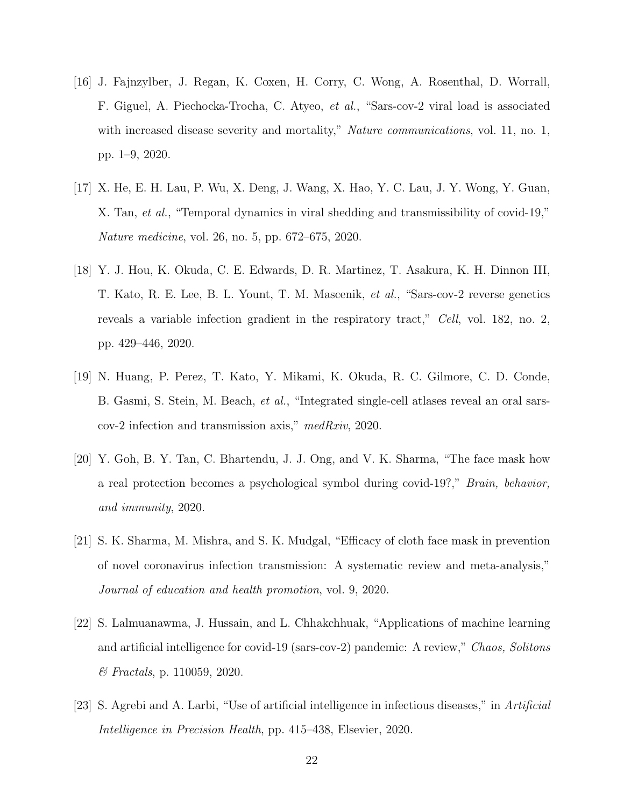- <span id="page-21-0"></span>[16] J. Fajnzylber, J. Regan, K. Coxen, H. Corry, C. Wong, A. Rosenthal, D. Worrall, F. Giguel, A. Piechocka-Trocha, C. Atyeo, et al., "Sars-cov-2 viral load is associated with increased disease severity and mortality," *Nature communications*, vol. 11, no. 1, pp. 1–9, 2020.
- <span id="page-21-1"></span>[17] X. He, E. H. Lau, P. Wu, X. Deng, J. Wang, X. Hao, Y. C. Lau, J. Y. Wong, Y. Guan, X. Tan, et al., "Temporal dynamics in viral shedding and transmissibility of covid-19," Nature medicine, vol. 26, no. 5, pp. 672–675, 2020.
- <span id="page-21-2"></span>[18] Y. J. Hou, K. Okuda, C. E. Edwards, D. R. Martinez, T. Asakura, K. H. Dinnon III, T. Kato, R. E. Lee, B. L. Yount, T. M. Mascenik, et al., "Sars-cov-2 reverse genetics reveals a variable infection gradient in the respiratory tract," Cell, vol. 182, no. 2, pp. 429–446, 2020.
- <span id="page-21-3"></span>[19] N. Huang, P. Perez, T. Kato, Y. Mikami, K. Okuda, R. C. Gilmore, C. D. Conde, B. Gasmi, S. Stein, M. Beach, et al., "Integrated single-cell atlases reveal an oral sarscov-2 infection and transmission axis," medRxiv, 2020.
- <span id="page-21-4"></span>[20] Y. Goh, B. Y. Tan, C. Bhartendu, J. J. Ong, and V. K. Sharma, "The face mask how a real protection becomes a psychological symbol during covid-19?," Brain, behavior, and immunity, 2020.
- <span id="page-21-5"></span>[21] S. K. Sharma, M. Mishra, and S. K. Mudgal, "Efficacy of cloth face mask in prevention of novel coronavirus infection transmission: A systematic review and meta-analysis," Journal of education and health promotion, vol. 9, 2020.
- <span id="page-21-6"></span>[22] S. Lalmuanawma, J. Hussain, and L. Chhakchhuak, "Applications of machine learning and artificial intelligence for covid-19 (sars-cov-2) pandemic: A review," Chaos, Solitons & Fractals, p. 110059, 2020.
- <span id="page-21-7"></span>[23] S. Agrebi and A. Larbi, "Use of artificial intelligence in infectious diseases," in Artificial Intelligence in Precision Health, pp. 415–438, Elsevier, 2020.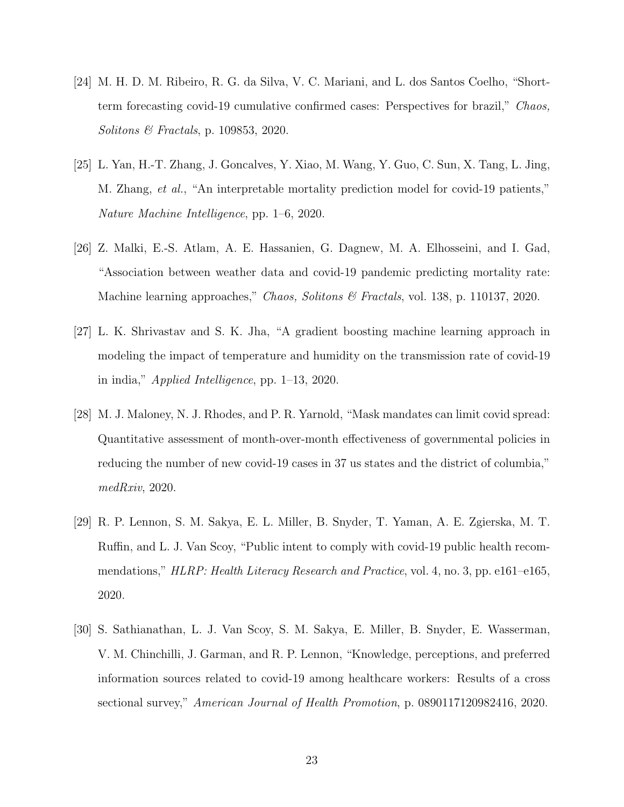- <span id="page-22-0"></span>[24] M. H. D. M. Ribeiro, R. G. da Silva, V. C. Mariani, and L. dos Santos Coelho, "Shortterm forecasting covid-19 cumulative confirmed cases: Perspectives for brazil," Chaos, Solitons & Fractals, p. 109853, 2020.
- <span id="page-22-1"></span>[25] L. Yan, H.-T. Zhang, J. Goncalves, Y. Xiao, M. Wang, Y. Guo, C. Sun, X. Tang, L. Jing, M. Zhang, *et al.*, "An interpretable mortality prediction model for covid-19 patients," Nature Machine Intelligence, pp. 1–6, 2020.
- <span id="page-22-2"></span>[26] Z. Malki, E.-S. Atlam, A. E. Hassanien, G. Dagnew, M. A. Elhosseini, and I. Gad, "Association between weather data and covid-19 pandemic predicting mortality rate: Machine learning approaches," Chaos, Solitons & Fractals, vol. 138, p. 110137, 2020.
- <span id="page-22-3"></span>[27] L. K. Shrivastav and S. K. Jha, "A gradient boosting machine learning approach in modeling the impact of temperature and humidity on the transmission rate of covid-19 in india," Applied Intelligence, pp. 1–13, 2020.
- <span id="page-22-4"></span>[28] M. J. Maloney, N. J. Rhodes, and P. R. Yarnold, "Mask mandates can limit covid spread: Quantitative assessment of month-over-month effectiveness of governmental policies in reducing the number of new covid-19 cases in 37 us states and the district of columbia," medRxiv, 2020.
- <span id="page-22-5"></span>[29] R. P. Lennon, S. M. Sakya, E. L. Miller, B. Snyder, T. Yaman, A. E. Zgierska, M. T. Ruffin, and L. J. Van Scoy, "Public intent to comply with covid-19 public health recommendations," HLRP: Health Literacy Research and Practice, vol. 4, no. 3, pp. e161–e165, 2020.
- <span id="page-22-6"></span>[30] S. Sathianathan, L. J. Van Scoy, S. M. Sakya, E. Miller, B. Snyder, E. Wasserman, V. M. Chinchilli, J. Garman, and R. P. Lennon, "Knowledge, perceptions, and preferred information sources related to covid-19 among healthcare workers: Results of a cross sectional survey," American Journal of Health Promotion, p. 0890117120982416, 2020.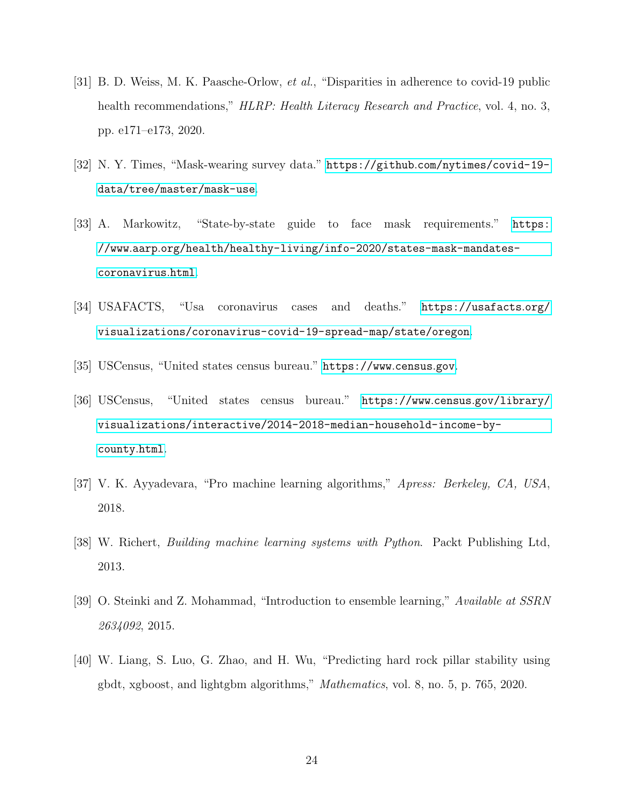- <span id="page-23-0"></span>[31] B. D. Weiss, M. K. Paasche-Orlow, et al., "Disparities in adherence to covid-19 public health recommendations," HLRP: Health Literacy Research and Practice, vol. 4, no. 3, pp. e171–e173, 2020.
- <span id="page-23-1"></span>[32] N. Y. Times, "Mask-wearing survey data." https://github.[com/nytimes/covid-19](https://github.com/nytimes/covid-19-data/tree/master/mask-use) [data/tree/master/mask-use](https://github.com/nytimes/covid-19-data/tree/master/mask-use).
- <span id="page-23-2"></span>[33] A. Markowitz, "State-by-state guide to face mask requirements." [https:](https://www.aarp.org/health/healthy-living/info-2020/states-mask-mandates-coronavirus.html) //www.aarp.[org/health/healthy-living/info-2020/states-mask-mandates](https://www.aarp.org/health/healthy-living/info-2020/states-mask-mandates-coronavirus.html)[coronavirus](https://www.aarp.org/health/healthy-living/info-2020/states-mask-mandates-coronavirus.html).html.
- <span id="page-23-3"></span>[34] USAFACTS, "Usa coronavirus cases and deaths." [https://usafacts](https://usafacts.org/visualizations/coronavirus-covid-19-spread-map/state/oregon).org/ [visualizations/coronavirus-covid-19-spread-map/state/oregon](https://usafacts.org/visualizations/coronavirus-covid-19-spread-map/state/oregon).
- <span id="page-23-5"></span><span id="page-23-4"></span>[35] USCensus, "United states census bureau." [https://www](https://www.census.gov).census.gov.
- [36] USCensus, "United states census bureau." https://www.census.[gov/library/](https://www.census.gov/library/visualizations/interactive/2014-2018-median-household-income-by-county.html) [visualizations/interactive/2014-2018-median-household-income-by](https://www.census.gov/library/visualizations/interactive/2014-2018-median-household-income-by-county.html)[county](https://www.census.gov/library/visualizations/interactive/2014-2018-median-household-income-by-county.html).html.
- <span id="page-23-6"></span>[37] V. K. Ayyadevara, "Pro machine learning algorithms," Apress: Berkeley, CA, USA, 2018.
- <span id="page-23-7"></span>[38] W. Richert, Building machine learning systems with Python. Packt Publishing Ltd, 2013.
- <span id="page-23-8"></span>[39] O. Steinki and Z. Mohammad, "Introduction to ensemble learning," Available at SSRN 2634092, 2015.
- <span id="page-23-9"></span>[40] W. Liang, S. Luo, G. Zhao, and H. Wu, "Predicting hard rock pillar stability using gbdt, xgboost, and lightgbm algorithms," Mathematics, vol. 8, no. 5, p. 765, 2020.